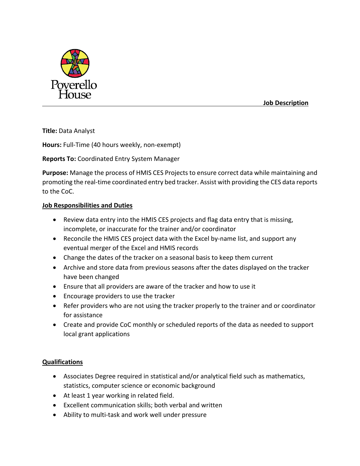

 **Job Description**

**Title:** Data Analyst

**Hours:** Full-Time (40 hours weekly, non-exempt)

**Reports To:** Coordinated Entry System Manager

**Purpose:** Manage the process of HMIS CES Projects to ensure correct data while maintaining and promoting the real-time coordinated entry bed tracker. Assist with providing the CES data reports to the CoC.

## **Job Responsibilities and Duties**

- Review data entry into the HMIS CES projects and flag data entry that is missing, incomplete, or inaccurate for the trainer and/or coordinator
- Reconcile the HMIS CES project data with the Excel by-name list, and support any eventual merger of the Excel and HMIS records
- Change the dates of the tracker on a seasonal basis to keep them current
- Archive and store data from previous seasons after the dates displayed on the tracker have been changed
- Ensure that all providers are aware of the tracker and how to use it
- Encourage providers to use the tracker
- Refer providers who are not using the tracker properly to the trainer and or coordinator for assistance
- Create and provide CoC monthly or scheduled reports of the data as needed to support local grant applications

## **Qualifications**

- Associates Degree required in statistical and/or analytical field such as mathematics, statistics, computer science or economic background
- At least 1 year working in related field.
- Excellent communication skills; both verbal and written
- Ability to multi-task and work well under pressure